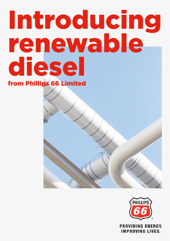# Introducing renewable diesel

from Phillips 66 Limited





**IMPROVING LIVES.**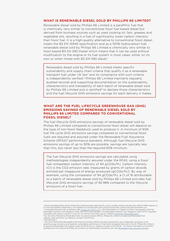# **WHAT IS RENEWABLE DIESEL SOLD BY PHILLIPS 66 LIMITED?**

Renewable diesel sold by Phillips 66 Limited is a paraffinic fuel that is chemically very similar to conventional fossil fuel based diesel but derived from biomass sources such as used cooking oil, fats, greases and vegetable oils, resulting in a fuel of significantly lower carbon intensity than fossil fuel. It is a high-quality alternative to conventional fossil diesel, meets the BS EN 15940 specification and as a 100% hydrocarbon fuel, renewable diesel sold by Phillips 66 Limited is chemically very similar to fossil based BS EN 590 Diesel which means that it can be used without modification to the engine or its fuel system in most cases, either on its own or when mixed with BS EN 590 diesel.<sup>1</sup>

Renewable diesel sold by Phillips 66 Limited meets specific sustainability and supply chain criteria that qualify it as a renewable transport fuel under UK law2 and its compliance with such criteria is independently verified. $3$  Phillips 66 Limited maintains regularly audited records and supporting documentation on the sustainability characteristics and traceability of each batch of renewable diesel sold by Phillips 66 Limited and is certified<sup>4</sup> to declare those characteristics and the fuel lifecycle GHG emissions savings for each delivery it makes.

#### **WHAT ARE THE FUEL LIFECYCLE GREENHOUSE GAS (GHG) EMISSIONS SAVINGS OF RENEWABLE DIESEL SOLD BY PHILLIPS 66 LIMITED COMPARED TO CONVENTIONAL FOSSIL DIESEL?**

The fuel lifecycle GHG emissions savings of renewable diesel sold by Phillips 66 Limited compared to conventional fossil diesel will depend on the type of non-fossil feedstock used to produce it. A minimum of 65% fuel life cycle GHG emissions savings compared to conventional fossil fuels are required and assured under the Renewable Fuel Assurance Scheme (RFAS)<sup>5</sup> performance standard. Although fuel lifecycle GHG emissions savings of up to 90% are possible, savings are typically less than this, but never less than the required 65% minimum.

The fuel lifecycle GHG emissions savings are calculated using methodologies independently assured under the RFAS, using a fossil fuel comparator carbon intensity of 94 gCO2e/MJ. Carbon intensity (CI) is the CO2 emission rate, measured by grams of carbon dioxide emitted per megajoule of energy produced (gCO2e/MJ). By way of example, using the comparator of 94 gCO2e/MJ, a CI of 16 attributable to a batch of renewable diesel sold by Phillips 66 Limited provides fuel lifecycle GHG emissions savings of 82.98% compared to the lifecycle emissions of a fossil fuel.

<sup>4</sup> see footnote 3

<sup>1</sup> Whilst renewable diesel sold by Phillips 66 Limited has been approved for use by multiple vehicle manufacturers, BS EN 15940 requires us to note that paraffinic diesel fuel is not suitable for all vehicles and users should consult their vehicle manufacturer before use. <sup>2</sup> "renewable transport fuel" as defined under <u>[Energy Act 2004 c. 20](https://assets.publishing.service.gov.uk/government/uploads/system/uploads/attachment_data/file/490993/Energy_Act_2004__Energy_Bill_2015-16_Keeling_Schedule_.pdf)</u>, s. 132 Interpretation of Chapter 5 of Part 2 and applied under the<br>Renewable Transport Fuel Obligation Order 2007/3072 (as amended.) The Renewable Tr renewable fuels used for transport in the UK. For further information see our website: Phillips 66 | Renewable Die <sup>3</sup> By: the Zemo Partnership Renewable Fuels Assurance Scheme (RFAS). Phillips 66 Limited is an approved Renewable Fuel<br>Supplier under the RFAS, our reference number is PH/P13/2.2.

<sup>5</sup> The Zemo Partnership Renewable Fuels Assurance Scheme (RFAS) has been developed to give independent assurance of the greenhouse gas emissions and feedstock sustainability performance of high blend renewable fuels sold in the UK. Phillips 66 Limited is an approved Renewable Fuel Supplier under the RFAS and our reference number is PH/P13/22. For further information on the RFAS<br>standards and the criteria that Phillips 66 Limited must demonstrate compliance with, see: <u>Rene</u>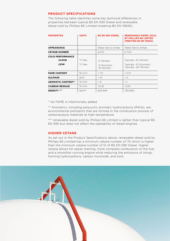# **PRODUCT SPECIFICATIONS**

The following table identifies some key technical differences in properties between typical BS EN 590 Diesel and renewable diesel sold by Phillips 66 Limited (meeting BS EN 15940).

| <b>PROPERTIES</b>                                      | <b>UNITS</b>           | <b>BS EN 590 DIESEL</b>                      | <b>RENEWABLE DIESEL SOLD</b><br>BY PHILLIPS 66 LIMITED<br>(MEETING BS EN 15940) |
|--------------------------------------------------------|------------------------|----------------------------------------------|---------------------------------------------------------------------------------|
| <b>APPEARANCE</b>                                      |                        | Water like to Amber                          | Water like to Amber                                                             |
| <b>CETANE NUMBER</b>                                   |                        | $\geq 51.0$                                  | $\geq 70.0$                                                                     |
| <b>COLD PERFORMANCE</b><br><b>CLOUD</b><br><b>CFPP</b> | °C Max<br>°C Max       | -5 (Winter)<br>-5 (Summer)<br>$-15$ (Winter) | Typically -10 (Winter)<br>Typically -10 (Summer)<br>Typically -20 (Winter)      |
| <b>FAME CONTENT</b>                                    | % $(v/v)$              | < 7.0                                        | $<$ 0.2 <sup>*</sup>                                                            |
| <b>SULPHUR</b>                                         | ppm                    | < 10                                         | < 5                                                                             |
| <b>AROMATIC CONTENT**</b>                              | % $m/m$                | < 8                                          | $<$ 1                                                                           |
| <b>CARBON RESIDUE</b>                                  | % $m/m$                | < 0.35                                       | < 0.10                                                                          |
| <b>DENSITY ***</b>                                     | $\text{Kg}/\text{m}^3$ | 820-845                                      | 765-800                                                                         |

\* No FAME is intentionally added

\*\* Aromatics, including polycyclic aromatic hydrocarbons (PAHs), are environmental pollutants that are formed in the combustion process of carbonaceous materials at high temperature.

\*\*\* renewable diesel sold by Phillips 66 Limited is lighter than typical BS EN 590 but does not affect the operability of diesel engines

# **HIGHER CETANE**

As set out in the Product Specifications above, renewable diesel sold by Phillips 66 Limited has a minimum cetane number of 70 which is higher than the minimum cetane number of 51 of BS EN 590 Diesel. Higher cetane allows for easier starting, more complete combustion of the fuel, and a smoother running engine while reducing the emissions of smogforming hydrocarbons, carbon monoxide, and soot.